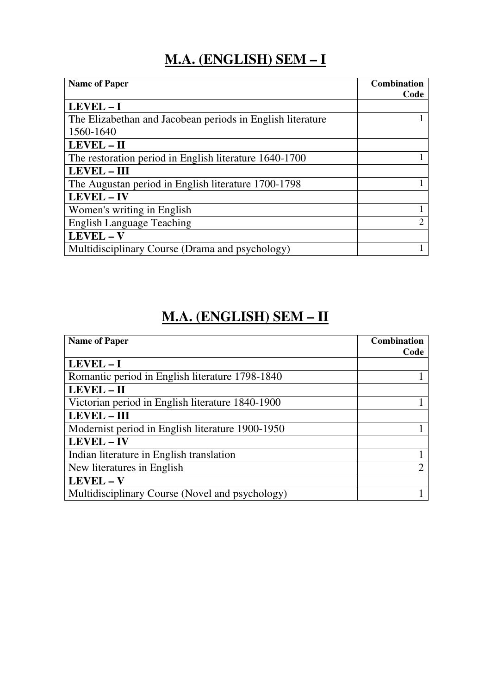### **M.A. (ENGLISH) SEM – I**

| <b>Name of Paper</b>                                       | <b>Combination</b><br>Code |
|------------------------------------------------------------|----------------------------|
| LEVEL-I                                                    |                            |
| The Elizabethan and Jacobean periods in English literature |                            |
| 1560-1640                                                  |                            |
| LEVEL - II                                                 |                            |
| The restoration period in English literature 1640-1700     |                            |
| <b>LEVEL - III</b>                                         |                            |
| The Augustan period in English literature 1700-1798        |                            |
| <b>LEVEL - IV</b>                                          |                            |
| Women's writing in English                                 |                            |
| <b>English Language Teaching</b>                           | 2                          |
| LEVEL - V                                                  |                            |
| Multidisciplinary Course (Drama and psychology)            |                            |

#### **M.A. (ENGLISH) SEM – II**

| <b>Name of Paper</b>                             | <b>Combination</b><br>Code |
|--------------------------------------------------|----------------------------|
| LEVEL-I                                          |                            |
| Romantic period in English literature 1798-1840  |                            |
| LEVEL - II                                       |                            |
| Victorian period in English literature 1840-1900 |                            |
| <b>LEVEL - III</b>                               |                            |
| Modernist period in English literature 1900-1950 |                            |
| <b>LEVEL - IV</b>                                |                            |
| Indian literature in English translation         |                            |
| New literatures in English                       |                            |
| <b>LEVEL - V</b>                                 |                            |
| Multidisciplinary Course (Novel and psychology)  |                            |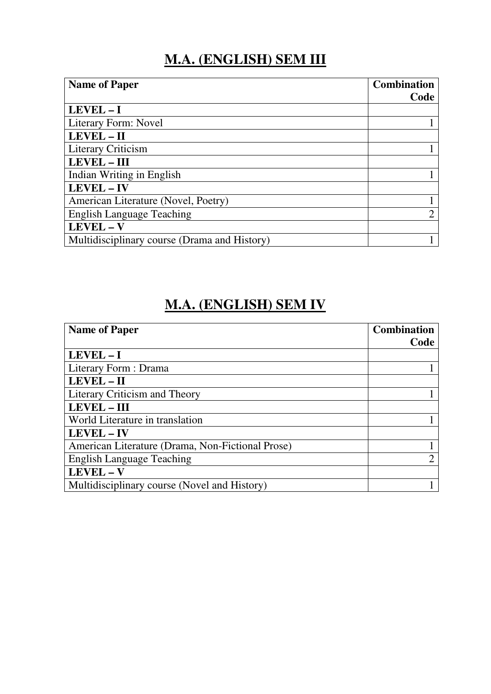#### **M.A. (ENGLISH) SEM III**

| <b>Name of Paper</b>                         | <b>Combination</b> |
|----------------------------------------------|--------------------|
|                                              | Code               |
| $LEVEL - I$                                  |                    |
| Literary Form: Novel                         |                    |
| LEVEL - II                                   |                    |
| <b>Literary Criticism</b>                    |                    |
| <b>LEVEL - III</b>                           |                    |
| Indian Writing in English                    |                    |
| <b>LEVEL-IV</b>                              |                    |
| American Literature (Novel, Poetry)          |                    |
| <b>English Language Teaching</b>             | ി                  |
| LEVEL-V                                      |                    |
| Multidisciplinary course (Drama and History) |                    |
|                                              |                    |

## **M.A. (ENGLISH) SEM IV**

| <b>Name of Paper</b>                             | <b>Combination</b> |
|--------------------------------------------------|--------------------|
|                                                  | Code               |
| $LEVEL - I$                                      |                    |
| Literary Form : Drama                            |                    |
| LEVEL - II                                       |                    |
| Literary Criticism and Theory                    |                    |
| <b>LEVEL - III</b>                               |                    |
| World Literature in translation                  |                    |
| LEVEL - IV                                       |                    |
| American Literature (Drama, Non-Fictional Prose) |                    |
| <b>English Language Teaching</b>                 |                    |
| LEVEL - V                                        |                    |
| Multidisciplinary course (Novel and History)     |                    |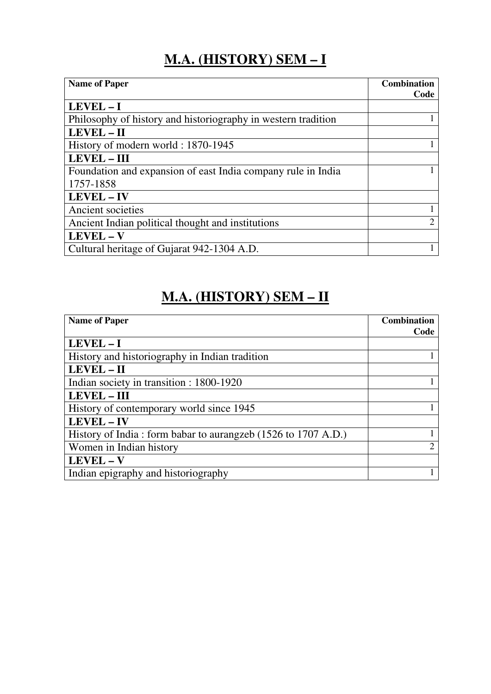# **M.A. (HISTORY) SEM – I**

| <b>Name of Paper</b>                                          | <b>Combination</b> |
|---------------------------------------------------------------|--------------------|
|                                                               | Code               |
| LEVEL-I                                                       |                    |
| Philosophy of history and historiography in western tradition |                    |
| LEVEL - II                                                    |                    |
| History of modern world: 1870-1945                            |                    |
| <b>LEVEL - III</b>                                            |                    |
| Foundation and expansion of east India company rule in India  |                    |
| 1757-1858                                                     |                    |
| LEVEL - IV                                                    |                    |
| Ancient societies                                             |                    |
| Ancient Indian political thought and institutions             | $\mathfrak{D}$     |
| LEVEL - V                                                     |                    |
| Cultural heritage of Gujarat 942-1304 A.D.                    |                    |

# **M.A. (HISTORY) SEM – II**

| <b>Name of Paper</b>                                          | <b>Combination</b> |
|---------------------------------------------------------------|--------------------|
|                                                               | Code               |
| $LEVEL - I$                                                   |                    |
| History and historiography in Indian tradition                |                    |
| LEVEL - II                                                    |                    |
| Indian society in transition : 1800-1920                      |                    |
| <b>LEVEL - III</b>                                            |                    |
| History of contemporary world since 1945                      |                    |
| <b>LEVEL - IV</b>                                             |                    |
| History of India: form babar to aurangzeb (1526 to 1707 A.D.) |                    |
| Women in Indian history                                       | $\overline{2}$     |
| LEVEL - V                                                     |                    |
| Indian epigraphy and historiography                           |                    |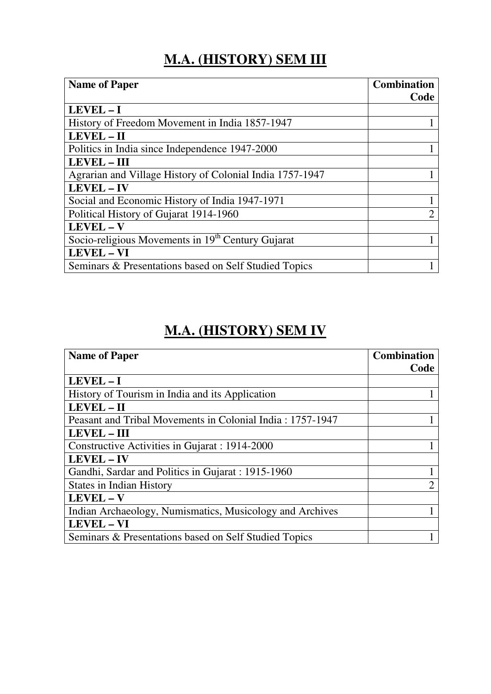# **M.A. (HISTORY) SEM III**

| <b>Name of Paper</b>                                          | <b>Combination</b><br>Code  |
|---------------------------------------------------------------|-----------------------------|
| LEVEL-I                                                       |                             |
| History of Freedom Movement in India 1857-1947                |                             |
| LEVEL - II                                                    |                             |
| Politics in India since Independence 1947-2000                |                             |
| <b>LEVEL - III</b>                                            |                             |
| Agrarian and Village History of Colonial India 1757-1947      |                             |
| <b>LEVEL-IV</b>                                               |                             |
| Social and Economic History of India 1947-1971                |                             |
| Political History of Gujarat 1914-1960                        | $\mathcal{D}_{\mathcal{A}}$ |
| LEVEL - V                                                     |                             |
| Socio-religious Movements in 19 <sup>th</sup> Century Gujarat |                             |
| <b>LEVEL - VI</b>                                             |                             |
| Seminars & Presentations based on Self Studied Topics         |                             |

#### **M.A. (HISTORY) SEM IV**

| <b>Name of Paper</b>                                      | <b>Combination</b><br>Code |
|-----------------------------------------------------------|----------------------------|
| LEVEL-I                                                   |                            |
| History of Tourism in India and its Application           |                            |
| LEVEL - II                                                |                            |
| Peasant and Tribal Movements in Colonial India: 1757-1947 |                            |
| <b>LEVEL - III</b>                                        |                            |
| Constructive Activities in Gujarat : 1914-2000            |                            |
| <b>LEVEL – IV</b>                                         |                            |
| Gandhi, Sardar and Politics in Gujarat : 1915-1960        |                            |
| <b>States in Indian History</b>                           | $\overline{2}$             |
| LEVEL - V                                                 |                            |
| Indian Archaeology, Numismatics, Musicology and Archives  |                            |
| <b>LEVEL - VI</b>                                         |                            |
| Seminars & Presentations based on Self Studied Topics     |                            |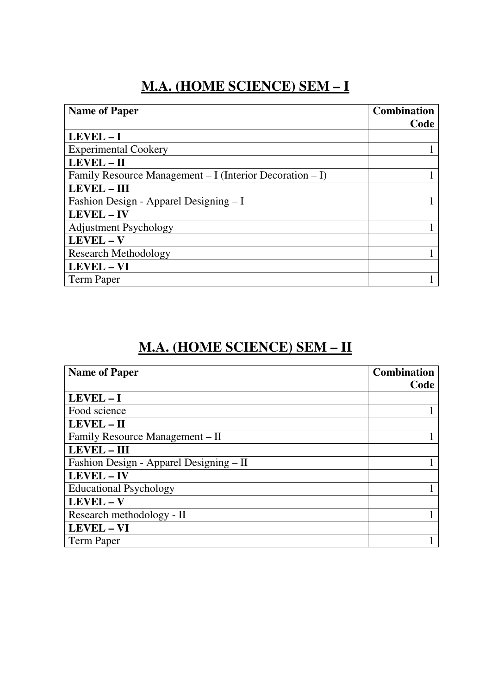#### **M.A. (HOME SCIENCE) SEM – I**

| <b>Name of Paper</b>                                     | <b>Combination</b> |
|----------------------------------------------------------|--------------------|
|                                                          | Code               |
| $LEVEL - I$                                              |                    |
| <b>Experimental Cookery</b>                              |                    |
| LEVEL - II                                               |                    |
| Family Resource Management – I (Interior Decoration – I) |                    |
| <b>LEVEL - III</b>                                       |                    |
| Fashion Design - Apparel Designing - I                   |                    |
| LEVEL - IV                                               |                    |
| <b>Adjustment Psychology</b>                             |                    |
| LEVEL - V                                                |                    |
| <b>Research Methodology</b>                              |                    |
| <b>LEVEL - VI</b>                                        |                    |
| <b>Term Paper</b>                                        |                    |

#### **M.A. (HOME SCIENCE) SEM – II**

| <b>Name of Paper</b>                    | <b>Combination</b> |
|-----------------------------------------|--------------------|
|                                         | Code               |
| LEVEL-I                                 |                    |
| Food science                            |                    |
| LEVEL - II                              |                    |
| Family Resource Management - II         |                    |
| <b>LEVEL - III</b>                      |                    |
| Fashion Design - Apparel Designing - II |                    |
| LEVEL - IV                              |                    |
| <b>Educational Psychology</b>           |                    |
| LEVEL - V                               |                    |
| Research methodology - II               |                    |
| LEVEL - VI                              |                    |
| <b>Term Paper</b>                       |                    |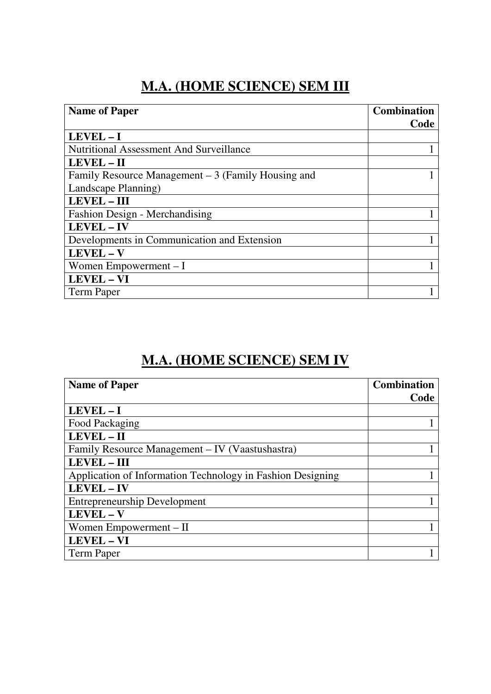#### **M.A. (HOME SCIENCE) SEM III**

| <b>Name of Paper</b>                                | <b>Combination</b> |
|-----------------------------------------------------|--------------------|
|                                                     | Code               |
| $LEVEL - I$                                         |                    |
| <b>Nutritional Assessment And Surveillance</b>      |                    |
| LEVEL - II                                          |                    |
| Family Resource Management $-3$ (Family Housing and |                    |
| Landscape Planning)                                 |                    |
| <b>LEVEL - III</b>                                  |                    |
| Fashion Design - Merchandising                      |                    |
| LEVEL - IV                                          |                    |
| Developments in Communication and Extension         |                    |
| LEVEL-V                                             |                    |
| Women Empowerment $-I$                              |                    |
| LEVEL - VI                                          |                    |
| <b>Term Paper</b>                                   |                    |

#### **M.A. (HOME SCIENCE) SEM IV**

| <b>Name of Paper</b>                                       | <b>Combination</b> |
|------------------------------------------------------------|--------------------|
|                                                            | Code               |
| $LEVEL - I$                                                |                    |
| Food Packaging                                             |                    |
| LEVEL - II                                                 |                    |
| Family Resource Management – IV (Vaastushastra)            |                    |
| <b>LEVEL - III</b>                                         |                    |
| Application of Information Technology in Fashion Designing |                    |
| LEVEL - IV                                                 |                    |
| <b>Entrepreneurship Development</b>                        |                    |
| LEVEL - V                                                  |                    |
| Women Empowerment – II                                     |                    |
| LEVEL - VI                                                 |                    |
| <b>Term Paper</b>                                          |                    |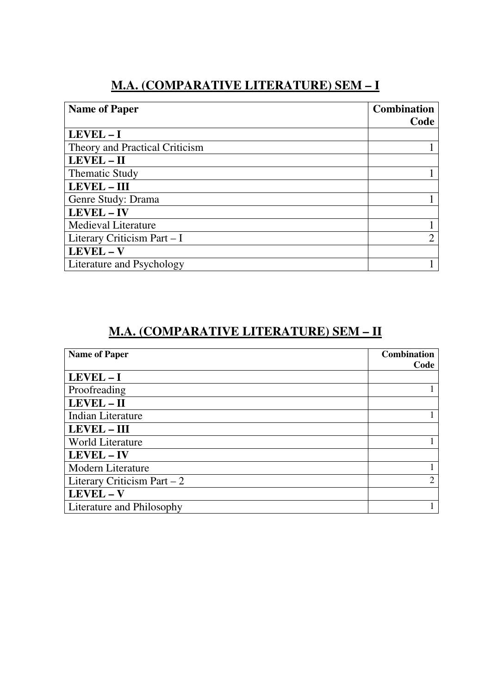#### **M.A. (COMPARATIVE LITERATURE) SEM – I**

| <b>Name of Paper</b>           | <b>Combination</b> |
|--------------------------------|--------------------|
|                                | Code               |
| $LEVEL - I$                    |                    |
| Theory and Practical Criticism |                    |
| LEVEL - II                     |                    |
| <b>Thematic Study</b>          |                    |
| <b>LEVEL - III</b>             |                    |
| Genre Study: Drama             |                    |
| LEVEL - IV                     |                    |
| <b>Medieval Literature</b>     |                    |
| Literary Criticism Part - I    | ⌒                  |
| LEVEL-V                        |                    |
| Literature and Psychology      |                    |

#### **M.A. (COMPARATIVE LITERATURE) SEM – II**

| <b>Name of Paper</b>         | <b>Combination</b> |
|------------------------------|--------------------|
|                              | Code               |
| LEVEL-I                      |                    |
| Proofreading                 |                    |
| LEVEL - II                   |                    |
| Indian Literature            |                    |
| <b>LEVEL - III</b>           |                    |
| <b>World Literature</b>      |                    |
| LEVEL - IV                   |                    |
| <b>Modern Literature</b>     |                    |
| Literary Criticism Part $-2$ | $\mathfrak{2}$     |
| LEVEL - V                    |                    |
| Literature and Philosophy    |                    |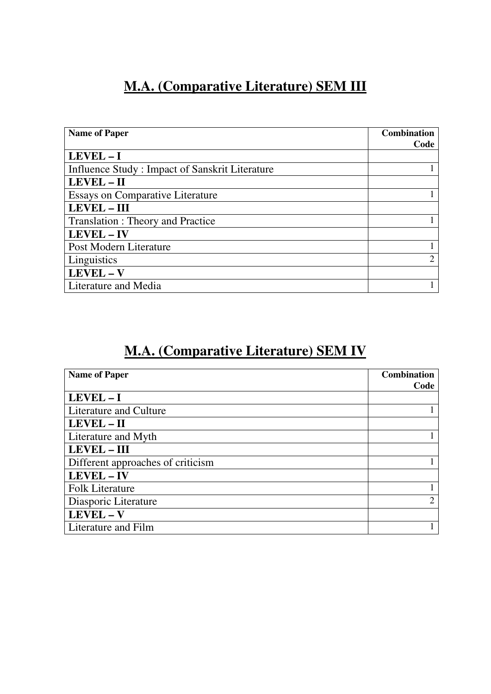#### **M.A. (Comparative Literature) SEM III**

| <b>Name of Paper</b>                           | <b>Combination</b> |
|------------------------------------------------|--------------------|
|                                                | Code               |
| $LEVEL - I$                                    |                    |
| Influence Study: Impact of Sanskrit Literature |                    |
| LEVEL - II                                     |                    |
| <b>Essays on Comparative Literature</b>        |                    |
| <b>LEVEL - III</b>                             |                    |
| <b>Translation: Theory and Practice</b>        |                    |
| <b>LEVEL - IV</b>                              |                    |
| Post Modern Literature                         |                    |
| Linguistics                                    | 2                  |
| LEVEL - V                                      |                    |
| Literature and Media                           |                    |

## **M.A. (Comparative Literature) SEM IV**

| <b>Name of Paper</b>              | <b>Combination</b> |
|-----------------------------------|--------------------|
|                                   | Code               |
| $LEVEL - I$                       |                    |
| Literature and Culture            |                    |
| LEVEL - II                        |                    |
| Literature and Myth               |                    |
| <b>LEVEL - III</b>                |                    |
| Different approaches of criticism |                    |
| LEVEL - IV                        |                    |
| <b>Folk Literature</b>            |                    |
| Diasporic Literature              | $\overline{2}$     |
| LEVEL-V                           |                    |
| Literature and Film               |                    |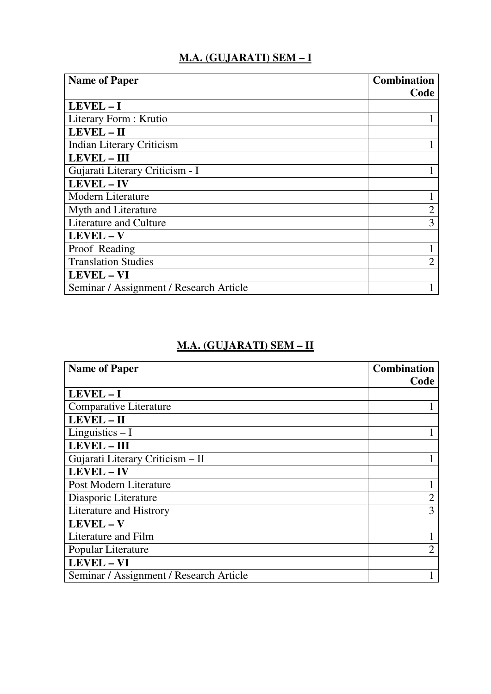#### **M.A. (GUJARATI) SEM – I**

| <b>Name of Paper</b>                    | <b>Combination</b> |
|-----------------------------------------|--------------------|
|                                         | Code               |
| LEVEL-I                                 |                    |
| Literary Form: Krutio                   |                    |
| LEVEL - II                              |                    |
| <b>Indian Literary Criticism</b>        |                    |
| <b>LEVEL - III</b>                      |                    |
| Gujarati Literary Criticism - I         |                    |
| <b>LEVEL - IV</b>                       |                    |
| Modern Literature                       |                    |
| Myth and Literature                     | $\overline{2}$     |
| <b>Literature and Culture</b>           | 3                  |
| LEVEL - V                               |                    |
| Proof Reading                           |                    |
| <b>Translation Studies</b>              |                    |
| <b>LEVEL - VI</b>                       |                    |
| Seminar / Assignment / Research Article |                    |

#### **M.A. (GUJARATI) SEM – II**

| <b>Name of Paper</b>                    | <b>Combination</b> |
|-----------------------------------------|--------------------|
|                                         | Code               |
| LEVEL-I                                 |                    |
| <b>Comparative Literature</b>           |                    |
| LEVEL - II                              |                    |
| Linguistics $-I$                        |                    |
| <b>LEVEL - III</b>                      |                    |
| Gujarati Literary Criticism - II        |                    |
| <b>LEVEL-IV</b>                         |                    |
| Post Modern Literature                  |                    |
| Diasporic Literature                    | $\overline{2}$     |
| Literature and Histrory                 | 3                  |
| LEVEL - V                               |                    |
| Literature and Film                     |                    |
| Popular Literature                      | $\overline{2}$     |
| LEVEL - VI                              |                    |
| Seminar / Assignment / Research Article |                    |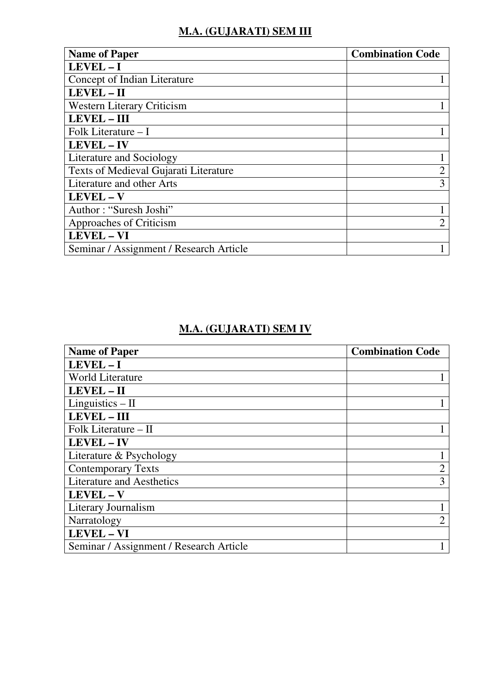#### **M.A. (GUJARATI) SEM III**

| <b>Name of Paper</b>                    | <b>Combination Code</b> |
|-----------------------------------------|-------------------------|
| LEVEL-I                                 |                         |
| Concept of Indian Literature            |                         |
| LEVEL - II                              |                         |
| <b>Western Literary Criticism</b>       |                         |
| <b>LEVEL - III</b>                      |                         |
| Folk Literature – I                     |                         |
| <b>LEVEL - IV</b>                       |                         |
| Literature and Sociology                |                         |
| Texts of Medieval Gujarati Literature   | $\overline{2}$          |
| Literature and other Arts               | 3                       |
| LEVEL - V                               |                         |
| Author: "Suresh Joshi"                  |                         |
| Approaches of Criticism                 | $\mathcal{D}$           |
| <b>LEVEL - VI</b>                       |                         |
| Seminar / Assignment / Research Article |                         |

#### **M.A. (GUJARATI) SEM IV**

| <b>Name of Paper</b>                    | <b>Combination Code</b>     |
|-----------------------------------------|-----------------------------|
| $LEVEL - I$                             |                             |
| <b>World Literature</b>                 |                             |
| LEVEL - II                              |                             |
| Linguistics $-$ II                      |                             |
| <b>LEVEL - III</b>                      |                             |
| Folk Literature $-$ II                  |                             |
| LEVEL - IV                              |                             |
| Literature & Psychology                 |                             |
| <b>Contemporary Texts</b>               | $\overline{2}$              |
| <b>Literature and Aesthetics</b>        | 3                           |
| LEVEL - V                               |                             |
| Literary Journalism                     |                             |
| Narratology                             | $\mathcal{D}_{\mathcal{L}}$ |
| <b>LEVEL - VI</b>                       |                             |
| Seminar / Assignment / Research Article |                             |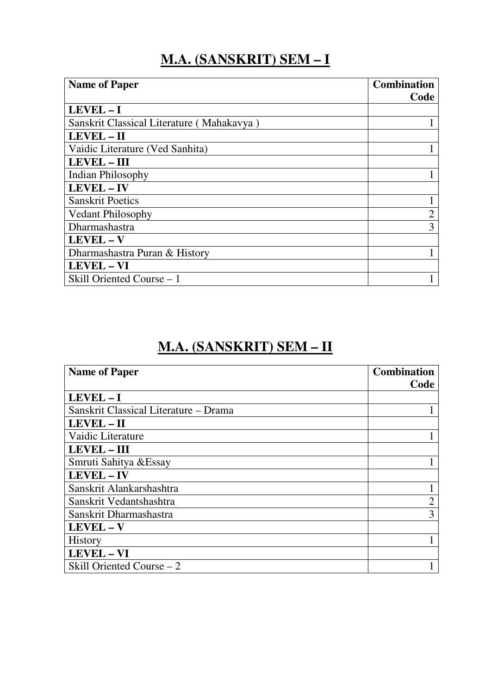#### **M.A. (SANSKRIT) SEM – I**

| <b>Name of Paper</b>                      | <b>Combination</b><br>Code |
|-------------------------------------------|----------------------------|
| $LEVEL - I$                               |                            |
| Sanskrit Classical Literature (Mahakavya) |                            |
| LEVEL - II                                |                            |
| Vaidic Literature (Ved Sanhita)           |                            |
| <b>LEVEL - III</b>                        |                            |
| <b>Indian Philosophy</b>                  |                            |
| LEVEL - IV                                |                            |
| <b>Sanskrit Poetics</b>                   |                            |
| <b>Vedant Philosophy</b>                  | $\overline{2}$             |
| Dharmashastra                             | 3                          |
| LEVEL - V                                 |                            |
| Dharmashastra Puran & History             |                            |
| <b>LEVEL - VI</b>                         |                            |
| Skill Oriented Course – 1                 |                            |

### **M.A. (SANSKRIT) SEM – II**

| <b>Name of Paper</b>                  | <b>Combination</b> |
|---------------------------------------|--------------------|
|                                       | Code               |
| LEVEL-I                               |                    |
| Sanskrit Classical Literature - Drama |                    |
| LEVEL - II                            |                    |
| Vaidic Literature                     |                    |
| <b>LEVEL - III</b>                    |                    |
| Smruti Sahitya & Essay                |                    |
| <b>LEVEL-IV</b>                       |                    |
| Sanskrit Alankarshashtra              |                    |
| Sanskrit Vedantshashtra               | 2                  |
| Sanskrit Dharmashastra                | 3                  |
| LEVEL-V                               |                    |
| <b>History</b>                        |                    |
| LEVEL - VI                            |                    |
| Skill Oriented Course – 2             |                    |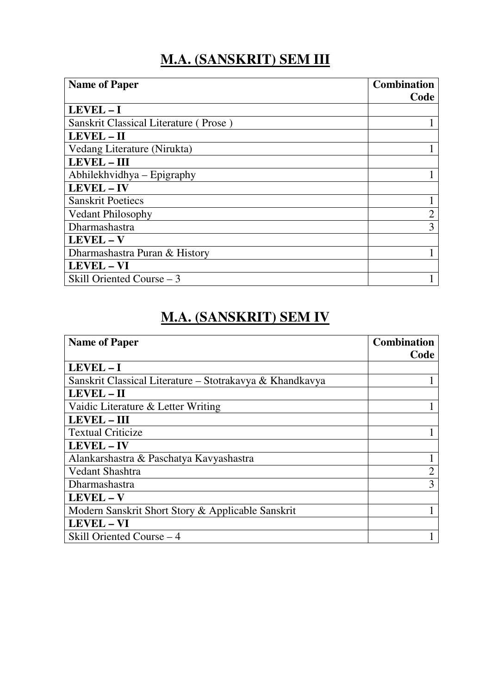## **M.A. (SANSKRIT) SEM III**

| <b>Name of Paper</b>                  | <b>Combination</b> |
|---------------------------------------|--------------------|
|                                       | Code               |
| LEVEL-I                               |                    |
| Sanskrit Classical Literature (Prose) |                    |
| LEVEL - II                            |                    |
| Vedang Literature (Nirukta)           |                    |
| <b>LEVEL - III</b>                    |                    |
| Abhilekhvidhya – Epigraphy            |                    |
| LEVEL - IV                            |                    |
| <b>Sanskrit Poetiecs</b>              |                    |
| <b>Vedant Philosophy</b>              | 2                  |
| Dharmashastra                         | 3                  |
| LEVEL - V                             |                    |
| Dharmashastra Puran & History         |                    |
| <b>LEVEL - VI</b>                     |                    |
| Skill Oriented Course – 3             |                    |
|                                       |                    |

#### **M.A. (SANSKRIT) SEM IV**

| <b>Name of Paper</b>                                     | <b>Combination</b> |
|----------------------------------------------------------|--------------------|
|                                                          | Code               |
| LEVEL-I                                                  |                    |
| Sanskrit Classical Literature – Stotrakavya & Khandkavya |                    |
| <b>LEVEL - II</b>                                        |                    |
| Vaidic Literature & Letter Writing                       |                    |
| <b>LEVEL - III</b>                                       |                    |
| <b>Textual Criticize</b>                                 |                    |
| <b>LEVEL - IV</b>                                        |                    |
| Alankarshastra & Paschatya Kavyashastra                  |                    |
| Vedant Shashtra                                          |                    |
| Dharmashastra                                            | 3                  |
| LEVEL - V                                                |                    |
| Modern Sanskrit Short Story & Applicable Sanskrit        |                    |
| <b>LEVEL - VI</b>                                        |                    |
| Skill Oriented Course – 4                                |                    |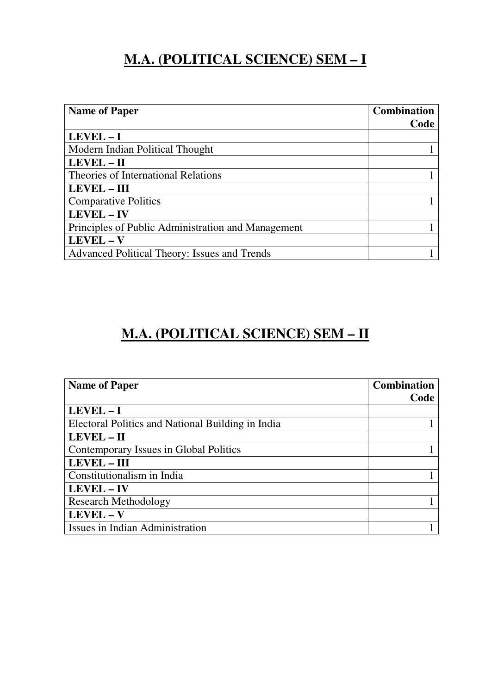### **M.A. (POLITICAL SCIENCE) SEM – I**

| <b>Name of Paper</b>                               | <b>Combination</b> |
|----------------------------------------------------|--------------------|
|                                                    | Code               |
| LEVEL-I                                            |                    |
| Modern Indian Political Thought                    |                    |
| LEVEL - II                                         |                    |
| Theories of International Relations                |                    |
| <b>LEVEL – III</b>                                 |                    |
| <b>Comparative Politics</b>                        |                    |
| LEVEL - IV                                         |                    |
| Principles of Public Administration and Management |                    |
| LEVEL - V                                          |                    |
| Advanced Political Theory: Issues and Trends       |                    |

# **M.A. (POLITICAL SCIENCE) SEM – II**

| <b>Name of Paper</b>                              | <b>Combination</b> |
|---------------------------------------------------|--------------------|
|                                                   | Code               |
| LEVEL-I                                           |                    |
| Electoral Politics and National Building in India |                    |
| LEVEL - II                                        |                    |
| Contemporary Issues in Global Politics            |                    |
| LEVEL - III                                       |                    |
| Constitutionalism in India                        |                    |
| LEVEL - IV                                        |                    |
| <b>Research Methodology</b>                       |                    |
| LEVEL - V                                         |                    |
| Issues in Indian Administration                   |                    |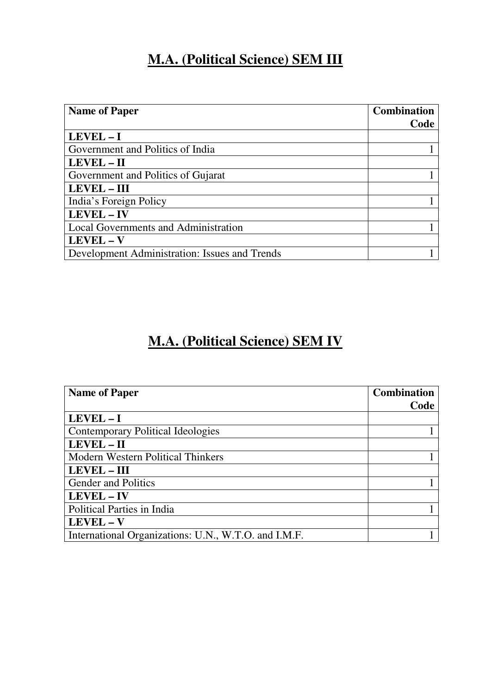#### **M.A. (Political Science) SEM III**

| <b>Name of Paper</b>                          | <b>Combination</b> |
|-----------------------------------------------|--------------------|
|                                               | Code               |
| LEVEL-I                                       |                    |
| Government and Politics of India              |                    |
| LEVEL - II                                    |                    |
| Government and Politics of Gujarat            |                    |
| <b>LEVEL - III</b>                            |                    |
| India's Foreign Policy                        |                    |
| LEVEL - IV                                    |                    |
| Local Governments and Administration          |                    |
| LEVEL - V                                     |                    |
| Development Administration: Issues and Trends |                    |
|                                               |                    |

### **M.A. (Political Science) SEM IV**

| <b>Name of Paper</b>                                 | <b>Combination</b> |
|------------------------------------------------------|--------------------|
|                                                      | Code               |
| $LEVEL - I$                                          |                    |
| <b>Contemporary Political Ideologies</b>             |                    |
| LEVEL - II                                           |                    |
| <b>Modern Western Political Thinkers</b>             |                    |
| LEVEL - III                                          |                    |
| <b>Gender and Politics</b>                           |                    |
| LEVEL - IV                                           |                    |
| <b>Political Parties in India</b>                    |                    |
| LEVEL - V                                            |                    |
| International Organizations: U.N., W.T.O. and I.M.F. |                    |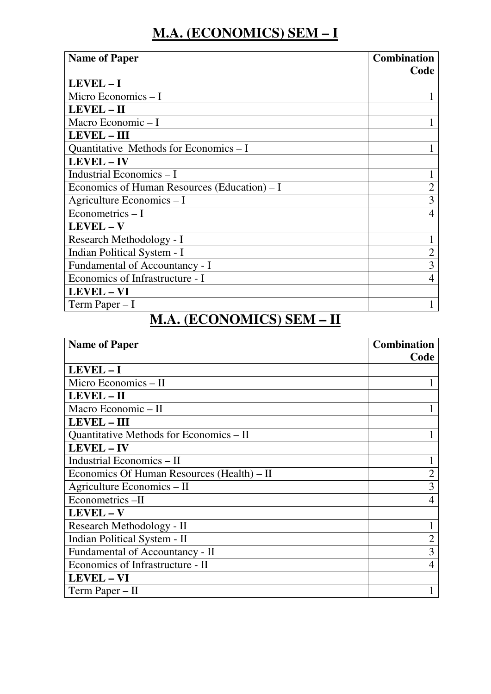# **M.A. (ECONOMICS) SEM – I**

| <b>Name of Paper</b>                         | <b>Combination</b><br>Code |
|----------------------------------------------|----------------------------|
| LEVEL-I                                      |                            |
| Micro Economics $-I$                         |                            |
| LEVEL - II                                   |                            |
| Macro Economic - I                           |                            |
| <b>LEVEL - III</b>                           |                            |
| Quantitative Methods for Economics – I       |                            |
| <b>LEVEL-IV</b>                              |                            |
| Industrial Economics - I                     |                            |
| Economics of Human Resources (Education) – I | 2                          |
| Agriculture Economics - I                    | 3                          |
| Econometrics $-1$                            | 4                          |
| LEVEL-V                                      |                            |
| Research Methodology - I                     |                            |
| Indian Political System - I                  | $\overline{2}$             |
| Fundamental of Accountancy - I               | 3                          |
| Economics of Infrastructure - I              | 4                          |
| <b>LEVEL - VI</b>                            |                            |
| Term Paper $-I$                              |                            |

#### **M.A. (ECONOMICS) SEM – II**

| <b>Name of Paper</b>                       | <b>Combination</b><br>Code |
|--------------------------------------------|----------------------------|
| LEVEL-I                                    |                            |
| Micro Economics – II                       |                            |
| LEVEL - II                                 |                            |
| Macro Economic - II                        |                            |
| <b>LEVEL - III</b>                         |                            |
| Quantitative Methods for Economics – II    |                            |
| LEVEL - IV                                 |                            |
| Industrial Economics - II                  |                            |
| Economics Of Human Resources (Health) – II | $\overline{2}$             |
| Agriculture Economics - II                 | 3                          |
| Econometrics-II                            | 4                          |
| LEVEL - V                                  |                            |
| Research Methodology - II                  |                            |
| Indian Political System - II               | $\overline{2}$             |
| Fundamental of Accountancy - II            | 3                          |
| Economics of Infrastructure - II           | 4                          |
| <b>LEVEL - VI</b>                          |                            |
| Term Paper $-$ II                          |                            |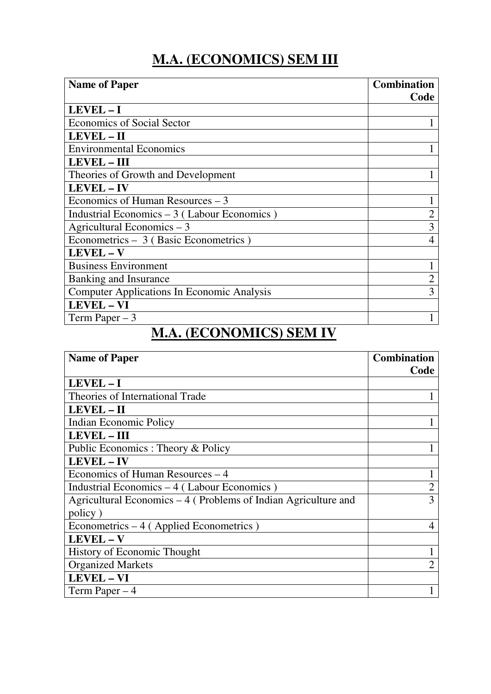#### **M.A. (ECONOMICS) SEM III**

| <b>Name of Paper</b>                              | <b>Combination</b><br>Code |
|---------------------------------------------------|----------------------------|
| LEVEL-I                                           |                            |
| <b>Economics of Social Sector</b>                 |                            |
| LEVEL - II                                        |                            |
| <b>Environmental Economics</b>                    |                            |
| <b>LEVEL - III</b>                                |                            |
| Theories of Growth and Development                |                            |
| <b>LEVEL - IV</b>                                 |                            |
| Economics of Human Resources $-3$                 |                            |
| Industrial Economics $-3$ (Labour Economics)      | $\overline{2}$             |
| Agricultural Economics $-3$                       | 3                          |
| Econometrics - 3 (Basic Econometrics)             |                            |
| LEVEL - V                                         |                            |
| <b>Business Environment</b>                       |                            |
| Banking and Insurance                             |                            |
| <b>Computer Applications In Economic Analysis</b> | 3                          |
| <b>LEVEL - VI</b>                                 |                            |
| Term Paper $-3$                                   |                            |

# **M.A. (ECONOMICS) SEM IV**

| <b>Name of Paper</b>                                           | <b>Combination</b> |
|----------------------------------------------------------------|--------------------|
|                                                                | Code               |
| LEVEL-I                                                        |                    |
| Theories of International Trade                                |                    |
| LEVEL - II                                                     |                    |
| <b>Indian Economic Policy</b>                                  |                    |
| <b>LEVEL - III</b>                                             |                    |
| Public Economics : Theory & Policy                             |                    |
| LEVEL - IV                                                     |                    |
| Economics of Human Resources – 4                               |                    |
| Industrial Economics – 4 (Labour Economics)                    | 2                  |
| Agricultural Economics – 4 (Problems of Indian Agriculture and | 3                  |
| policy)                                                        |                    |
| Econometrics $-4$ (Applied Econometrics)                       |                    |
| LEVEL - V                                                      |                    |
| <b>History of Economic Thought</b>                             |                    |
| <b>Organized Markets</b>                                       |                    |
| <b>LEVEL - VI</b>                                              |                    |
| Term Paper $-4$                                                |                    |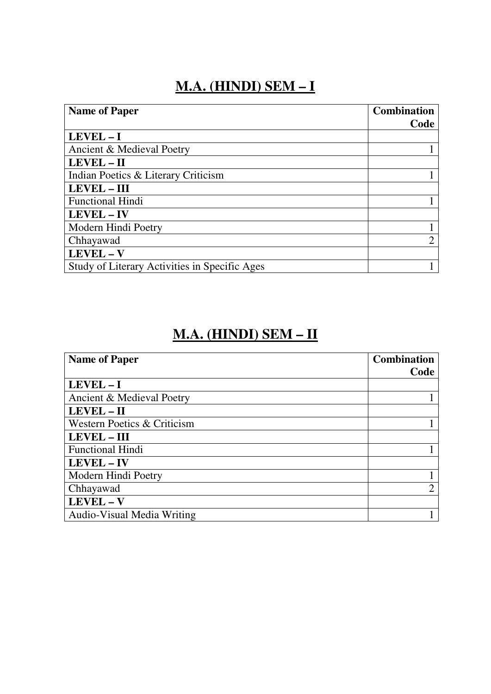#### **M.A. (HINDI) SEM – I**

| <b>Name of Paper</b>                          | <b>Combination</b> |
|-----------------------------------------------|--------------------|
|                                               | Code               |
| $LEVEL - I$                                   |                    |
| Ancient & Medieval Poetry                     |                    |
| LEVEL - II                                    |                    |
| Indian Poetics & Literary Criticism           |                    |
| <b>LEVEL - III</b>                            |                    |
| <b>Functional Hindi</b>                       |                    |
| LEVEL - IV                                    |                    |
| Modern Hindi Poetry                           |                    |
| Chhayawad                                     | ⌒                  |
| LEVEL-V                                       |                    |
| Study of Literary Activities in Specific Ages |                    |

## **M.A. (HINDI) SEM – II**

| <b>Name of Paper</b>        | <b>Combination</b> |
|-----------------------------|--------------------|
|                             | Code               |
| LEVEL-I                     |                    |
| Ancient & Medieval Poetry   |                    |
| LEVEL - II                  |                    |
| Western Poetics & Criticism |                    |
| <b>LEVEL - III</b>          |                    |
| <b>Functional Hindi</b>     |                    |
| <b>LEVEL - IV</b>           |                    |
| Modern Hindi Poetry         |                    |
| Chhayawad                   | ↑                  |
| LEVEL - V                   |                    |
| Audio-Visual Media Writing  |                    |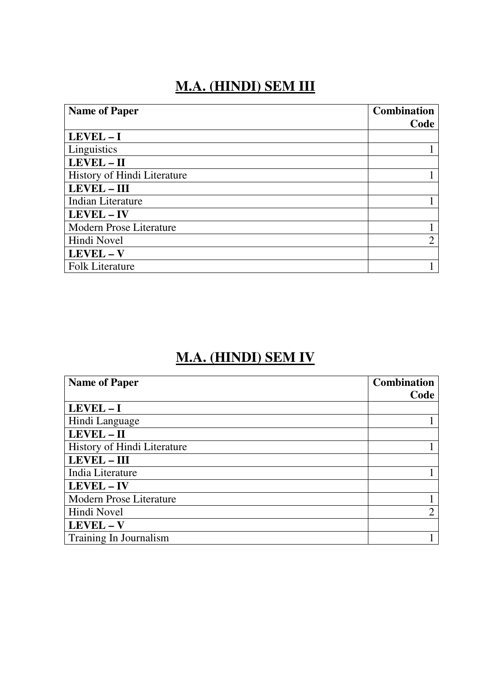#### **M.A. (HINDI) SEM III**

| <b>Name of Paper</b>           | <b>Combination</b> |
|--------------------------------|--------------------|
|                                | Code               |
| $LEVEL - I$                    |                    |
| Linguistics                    |                    |
| LEVEL - II                     |                    |
| History of Hindi Literature    |                    |
| <b>LEVEL - III</b>             |                    |
| <b>Indian Literature</b>       |                    |
| <b>LEVEL - IV</b>              |                    |
| <b>Modern Prose Literature</b> |                    |
| Hindi Novel                    | റ                  |
| LEVEL - V                      |                    |
| <b>Folk Literature</b>         |                    |
|                                |                    |

#### **M.A. (HINDI) SEM IV**

| <b>Name of Paper</b>           | <b>Combination</b> |
|--------------------------------|--------------------|
|                                | Code               |
| $LEVEL - I$                    |                    |
| Hindi Language                 |                    |
| LEVEL - II                     |                    |
| History of Hindi Literature    |                    |
| <b>LEVEL - III</b>             |                    |
| India Literature               |                    |
| LEVEL - IV                     |                    |
| <b>Modern Prose Literature</b> |                    |
| Hindi Novel                    | $\overline{2}$     |
| LEVEL - V                      |                    |
| Training In Journalism         |                    |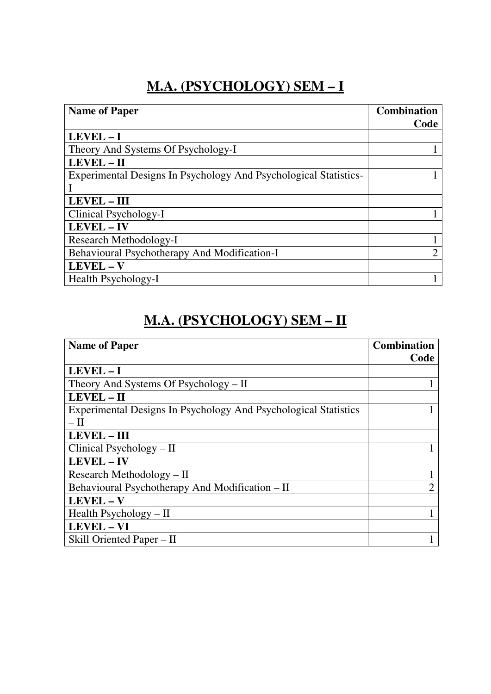#### **M.A. (PSYCHOLOGY) SEM – I**

| <b>Name of Paper</b>                                             | <b>Combination</b> |
|------------------------------------------------------------------|--------------------|
|                                                                  | Code               |
| LEVEL-I                                                          |                    |
| Theory And Systems Of Psychology-I                               |                    |
| LEVEL - II                                                       |                    |
| Experimental Designs In Psychology And Psychological Statistics- |                    |
|                                                                  |                    |
| <b>LEVEL - III</b>                                               |                    |
| Clinical Psychology-I                                            |                    |
| LEVEL - IV                                                       |                    |
| Research Methodology-I                                           |                    |
| Behavioural Psychotherapy And Modification-I                     | ↑                  |
| LEVEL - V                                                        |                    |
| Health Psychology-I                                              |                    |

#### **M.A. (PSYCHOLOGY) SEM – II**

| <b>Name of Paper</b>                                            | <b>Combination</b> |
|-----------------------------------------------------------------|--------------------|
|                                                                 | Code               |
| LEVEL-I                                                         |                    |
| Theory And Systems Of Psychology - II                           |                    |
| LEVEL - II                                                      |                    |
| Experimental Designs In Psychology And Psychological Statistics |                    |
| — П                                                             |                    |
| <b>LEVEL - III</b>                                              |                    |
| Clinical Psychology $-$ II                                      |                    |
| LEVEL - IV                                                      |                    |
| Research Methodology – II                                       |                    |
| Behavioural Psychotherapy And Modification - II                 | റ                  |
| LEVEL - V                                                       |                    |
| Health Psychology $-$ II                                        |                    |
| <b>LEVEL - VI</b>                                               |                    |
| Skill Oriented Paper – II                                       |                    |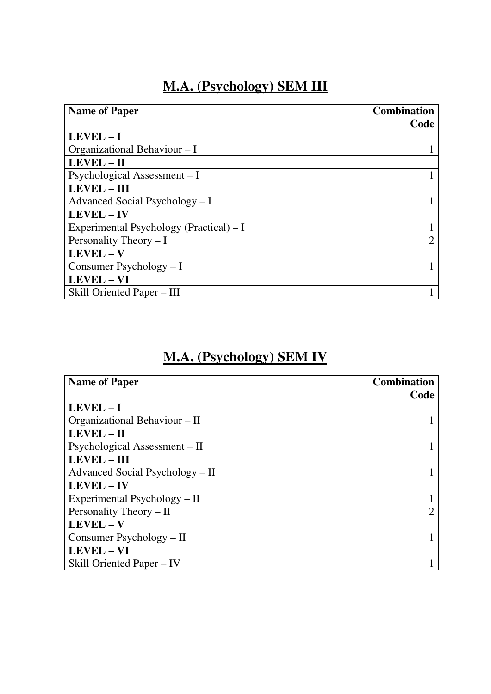#### **M.A. (Psychology) SEM III**

| <b>Name of Paper</b>                     | <b>Combination</b> |
|------------------------------------------|--------------------|
|                                          | Code               |
| LEVEL-I                                  |                    |
| Organizational Behaviour - I             |                    |
| LEVEL - II                               |                    |
| Psychological Assessment – I             |                    |
| <b>LEVEL - III</b>                       |                    |
| Advanced Social Psychology $-I$          |                    |
| LEVEL - IV                               |                    |
| Experimental Psychology (Practical) $-I$ |                    |
| Personality Theory $- I$                 | ∍                  |
| LEVEL - V                                |                    |
| Consumer Psychology - I                  |                    |
| <b>LEVEL - VI</b>                        |                    |
| Skill Oriented Paper – III               |                    |
|                                          |                    |

## **M.A. (Psychology) SEM IV**

| <b>Name of Paper</b>            | <b>Combination</b> |
|---------------------------------|--------------------|
|                                 | Code               |
| LEVEL-I                         |                    |
| Organizational Behaviour – II   |                    |
| LEVEL - II                      |                    |
| Psychological Assessment – II   |                    |
| <b>LEVEL - III</b>              |                    |
| Advanced Social Psychology – II |                    |
| <b>LEVEL - IV</b>               |                    |
| Experimental Psychology – II    |                    |
| Personality Theory – II         | っ                  |
| LEVEL - V                       |                    |
| Consumer Psychology – II        |                    |
| <b>LEVEL - VI</b>               |                    |
| Skill Oriented Paper – IV       |                    |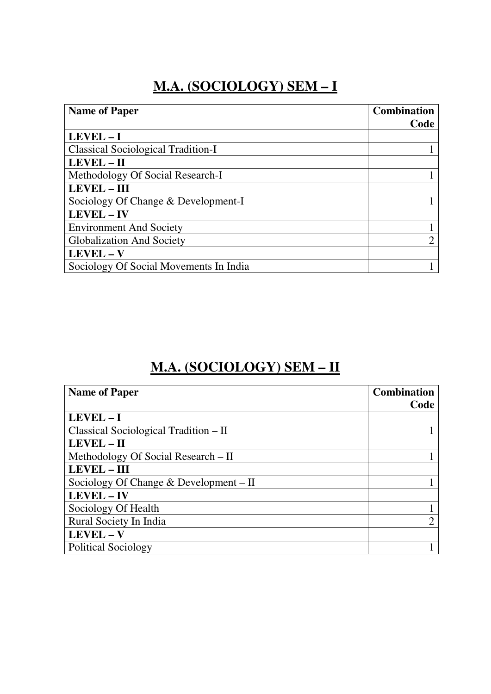### **M.A. (SOCIOLOGY) SEM – I**

| <b>Name of Paper</b>                      | <b>Combination</b> |
|-------------------------------------------|--------------------|
|                                           | Code               |
| $LEVEL - I$                               |                    |
| <b>Classical Sociological Tradition-I</b> |                    |
| LEVEL - II                                |                    |
| Methodology Of Social Research-I          |                    |
| <b>LEVEL - III</b>                        |                    |
| Sociology Of Change & Development-I       |                    |
| LEVEL - IV                                |                    |
| <b>Environment And Society</b>            |                    |
| <b>Globalization And Society</b>          | ↑                  |
| LEVEL - V                                 |                    |
| Sociology Of Social Movements In India    |                    |

## **M.A. (SOCIOLOGY) SEM – II**

| <b>Name of Paper</b>                     | <b>Combination</b><br>Code |
|------------------------------------------|----------------------------|
|                                          |                            |
| LEVEL-I                                  |                            |
| Classical Sociological Tradition – II    |                            |
| LEVEL - II                               |                            |
| Methodology Of Social Research – II      |                            |
| <b>LEVEL - III</b>                       |                            |
| Sociology Of Change $&$ Development – II |                            |
| <b>LEVEL - IV</b>                        |                            |
| Sociology Of Health                      |                            |
| Rural Society In India                   | ∍                          |
| LEVEL - V                                |                            |
| <b>Political Sociology</b>               |                            |